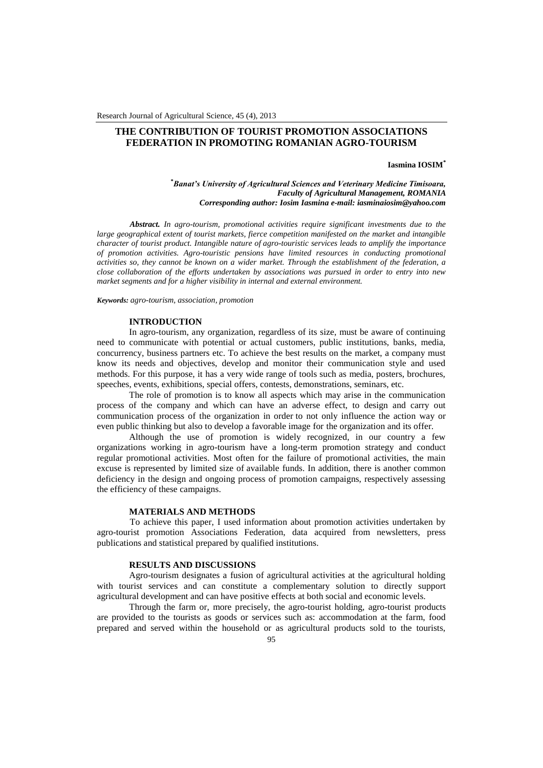Research Journal of Agricultural Science, 45 (4), 2013

# **THE CONTRIBUTION OF TOURIST PROMOTION ASSOCIATIONS FEDERATION IN PROMOTING ROMANIAN AGRO-TOURISM**

## **Iasmina IOSIM\***

**\****Banat's University of Agricultural Sciences and Veterinary Medicine Timisoara, Faculty of Agricultural Management, ROMANIA Corresponding author: Iosim Iasmina e-mail: iasminaiosim@yahoo.com*

*Abstract. In agro-tourism, promotional activities require significant investments due to the large geographical extent of tourist markets, fierce competition manifested on the market and intangible character of tourist product. Intangible nature of agro-touristic services leads to amplify the importance of promotion activities. Agro-touristic pensions have limited resources in conducting promotional activities so, they cannot be known on a wider market. Through the establishment of the federation, a close collaboration of the efforts undertaken by associations was pursued in order to entry into new market segments and for a higher visibility in internal and external environment.*

*Keywords: agro-tourism, association, promotion*

#### **INTRODUCTION**

In agro-tourism, any organization, regardless of its size, must be aware of continuing need to communicate with potential or actual customers, public institutions, banks, media, concurrency, business partners etc. To achieve the best results on the market, a company must know its needs and objectives, develop and monitor their communication style and used methods. For this purpose, it has a very wide range of tools such as media, posters, brochures, speeches, events, exhibitions, special offers, contests, demonstrations, seminars, etc.

The role of promotion is to know all aspects which may arise in the communication process of the company and which can have an adverse effect, to design and carry out communication process of the organization in order to not only influence the action way or even public thinking but also to develop a favorable image for the organization and its offer.

Although the use of promotion is widely recognized, in our country a few organizations working in agro-tourism have a long-term promotion strategy and conduct regular promotional activities. Most often for the failure of promotional activities, the main excuse is represented by limited size of available funds. In addition, there is another common deficiency in the design and ongoing process of promotion campaigns, respectively assessing the efficiency of these campaigns.

#### **MATERIALS AND METHODS**

To achieve this paper, I used information about promotion activities undertaken by agro-tourist promotion Associations Federation, data acquired from newsletters, press publications and statistical prepared by qualified institutions.

#### **RESULTS AND DISCUSSIONS**

Agro-tourism designates a fusion of agricultural activities at the agricultural holding with tourist services and can constitute a complementary solution to directly support agricultural development and can have positive effects at both social and economic levels.

Through the farm or, more precisely, the agro-tourist holding, agro-tourist products are provided to the tourists as goods or services such as: accommodation at the farm, food prepared and served within the household or as agricultural products sold to the tourists,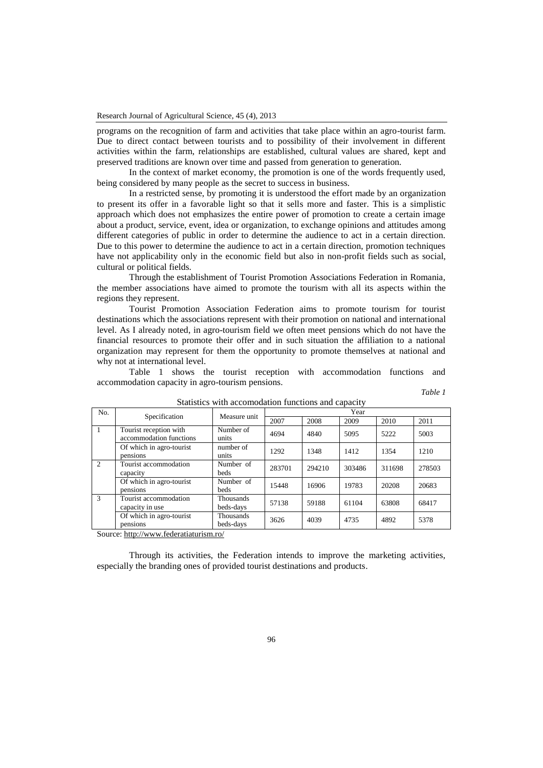programs on the recognition of farm and activities that take place within an agro-tourist farm. Due to direct contact between tourists and to possibility of their involvement in different activities within the farm, relationships are established, cultural values are shared, kept and preserved traditions are known over time and passed from generation to generation.

In the context of market economy, the promotion is one of the words frequently used, being considered by many people as the secret to success in business.

In a restricted sense, by promoting it is understood the effort made by an organization to present its offer in a favorable light so that it sells more and faster. This is a simplistic approach which does not emphasizes the entire power of promotion to create a certain image about a product, service, event, idea or organization, to exchange opinions and attitudes among different categories of public in order to determine the audience to act in a certain direction. Due to this power to determine the audience to act in a certain direction, promotion techniques have not applicability only in the economic field but also in non-profit fields such as social, cultural or political fields.

Through the establishment of Tourist Promotion Associations Federation in Romania, the member associations have aimed to promote the tourism with all its aspects within the regions they represent.

Tourist Promotion Association Federation aims to promote tourism for tourist destinations which the associations represent with their promotion on national and international level. As I already noted, in agro-tourism field we often meet pensions which do not have the financial resources to promote their offer and in such situation the affiliation to a national organization may represent for them the opportunity to promote themselves at national and why not at international level.

Table 1 shows the tourist reception with accommodation functions and accommodation capacity in agro-tourism pensions.

*Table 1*

| No.                         | Specification                                     | Measure unit             | Year   |        |        |        |        |
|-----------------------------|---------------------------------------------------|--------------------------|--------|--------|--------|--------|--------|
|                             |                                                   |                          | 2007   | 2008   | 2009   | 2010   | 2011   |
|                             | Tourist reception with<br>accommodation functions | Number of<br>units       | 4694   | 4840   | 5095   | 5222   | 5003   |
|                             | Of which in agro-tourist<br>pensions              | number of<br>units       | 1292   | 1348   | 1412   | 1354   | 1210   |
| $\mathcal{D}_{\mathcal{L}}$ | Tourist accommodation<br>capacity                 | Number of<br><b>beds</b> | 283701 | 294210 | 303486 | 311698 | 278503 |
|                             | Of which in agro-tourist<br>pensions              | Number of<br><b>beds</b> | 15448  | 16906  | 19783  | 20208  | 20683  |
| 3                           | Tourist accommodation<br>capacity in use          | Thousands<br>beds-days   | 57138  | 59188  | 61104  | 63808  | 68417  |
|                             | Of which in agro-tourist<br>pensions              | Thousands<br>beds-days   | 3626   | 4039   | 4735   | 4892   | 5378   |

Statistics with accomodation functions and capacity

Source:<http://www.federatiaturism.ro/>

Through its activities, the Federation intends to improve the marketing activities, especially the branding ones of provided tourist destinations and products.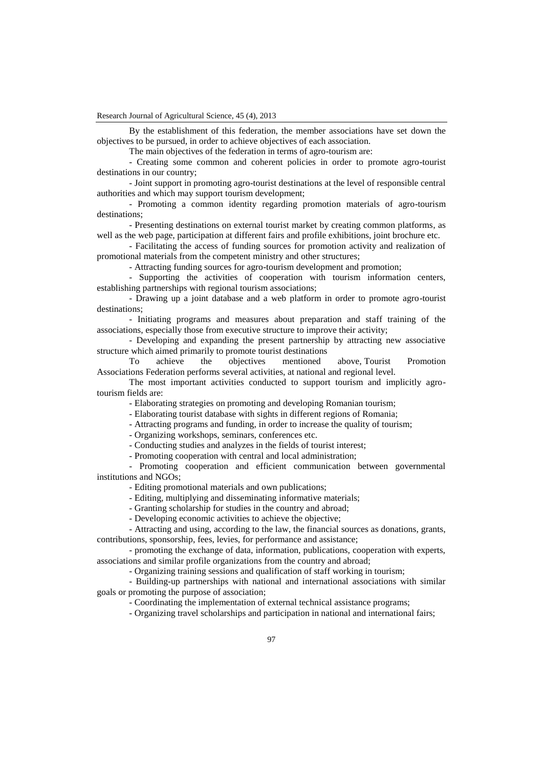Research Journal of Agricultural Science, 45 (4), 2013

By the establishment of this federation, the member associations have set down the objectives to be pursued, in order to achieve objectives of each association.

The main objectives of the federation in terms of agro-tourism are:

- Creating some common and coherent policies in order to promote agro-tourist destinations in our country;

- Joint support in promoting agro-tourist destinations at the level of responsible central authorities and which may support tourism development;

- Promoting a common identity regarding promotion materials of agro-tourism destinations;

- Presenting destinations on external tourist market by creating common platforms, as well as the web page, participation at different fairs and profile exhibitions, joint brochure etc.

- Facilitating the access of funding sources for promotion activity and realization of promotional materials from the competent ministry and other structures;

- Attracting funding sources for agro-tourism development and promotion;

- Supporting the activities of cooperation with tourism information centers, establishing partnerships with regional tourism associations;

- Drawing up a joint database and a web platform in order to promote agro-tourist destinations;

- Initiating programs and measures about preparation and staff training of the associations, especially those from executive structure to improve their activity;

- Developing and expanding the present partnership by attracting new associative structure which aimed primarily to promote tourist destinations

To achieve the objectives mentioned above, Tourist Promotion Associations Federation performs several activities, at national and regional level.

The most important activities conducted to support tourism and implicitly agrotourism fields are:

- Elaborating strategies on promoting and developing Romanian tourism;

- Elaborating tourist database with sights in different regions of Romania;

- Attracting programs and funding, in order to increase the quality of tourism;

- Organizing workshops, seminars, conferences etc.

- Conducting studies and analyzes in the fields of tourist interest;

- Promoting cooperation with central and local administration;

- Promoting cooperation and efficient communication between governmental institutions and NGOs;

- Editing promotional materials and own publications;

- Editing, multiplying and disseminating informative materials;

- Granting scholarship for studies in the country and abroad;

- Developing economic activities to achieve the objective;

- Attracting and using, according to the law, the financial sources as donations, grants, contributions, sponsorship, fees, levies, for performance and assistance;

- promoting the exchange of data, information, publications, cooperation with experts, associations and similar profile organizations from the country and abroad;

- Organizing training sessions and qualification of staff working in tourism;

- Building-up partnerships with national and international associations with similar goals or promoting the purpose of association;

- Coordinating the implementation of external technical assistance programs;

- Organizing travel scholarships and participation in national and international fairs;